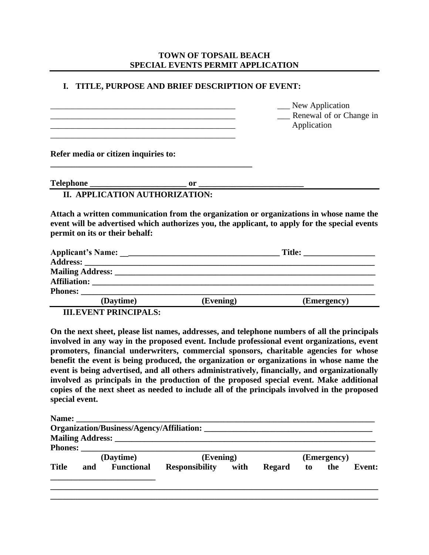# **TOWN OF TOPSAIL BEACH SPECIAL EVENTS PERMIT APPLICATION**

## **I. TITLE, PURPOSE AND BRIEF DESCRIPTION OF EVENT:**

|                                      |                                                                                                                                                                                                                                                                                                                                                       | _ New Application<br>_ Renewal of or Change in |
|--------------------------------------|-------------------------------------------------------------------------------------------------------------------------------------------------------------------------------------------------------------------------------------------------------------------------------------------------------------------------------------------------------|------------------------------------------------|
|                                      |                                                                                                                                                                                                                                                                                                                                                       | Application                                    |
| Refer media or citizen inquiries to: |                                                                                                                                                                                                                                                                                                                                                       |                                                |
| <b>Telephone</b>                     | $or$ and $\overline{or}$ and $\overline{or}$ and $\overline{or}$ and $\overline{or}$ and $\overline{or}$ and $\overline{or}$ and $\overline{or}$ and $\overline{or}$ and $\overline{or}$ and $\overline{or}$ and $\overline{or}$ and $\overline{or}$ and $\overline{or}$ and $\overline{or}$ and $\overline{or}$ and $\overline{or}$ and $\overline{$ |                                                |
|                                      | II. APPLICATION AUTHORIZATION:                                                                                                                                                                                                                                                                                                                        |                                                |

**Attach a written communication from the organization or organizations in whose name the event will be advertised which authorizes you, the applicant, to apply for the special events permit on its or their behalf:**

| <b>Phones:</b> |           |           |             |
|----------------|-----------|-----------|-------------|
|                | (Daytime) | (Evening) | (Emergency) |
|                |           |           |             |

**III.EVENT PRINCIPALS:**

**On the next sheet, please list names, addresses, and telephone numbers of all the principals involved in any way in the proposed event. Include professional event organizations, event promoters, financial underwriters, commercial sponsors, charitable agencies for whose benefit the event is being produced, the organization or organizations in whose name the event is being advertised, and all others administratively, financially, and organizationally involved as principals in the production of the proposed special event. Make additional copies of the next sheet as needed to include all of the principals involved in the proposed special event.**

|              |     |                   | <b>Organization/Business/Agency/Affiliation:</b> |        |             |               |
|--------------|-----|-------------------|--------------------------------------------------|--------|-------------|---------------|
|              |     |                   |                                                  |        |             |               |
|              |     |                   |                                                  |        |             |               |
|              |     | (Daytime)         | (Evening)                                        |        | (Emergency) |               |
| <b>Title</b> | and | <b>Functional</b> | Responsibility with                              | Regard | to the      | <b>Event:</b> |
|              |     |                   |                                                  |        |             |               |
|              |     |                   |                                                  |        |             |               |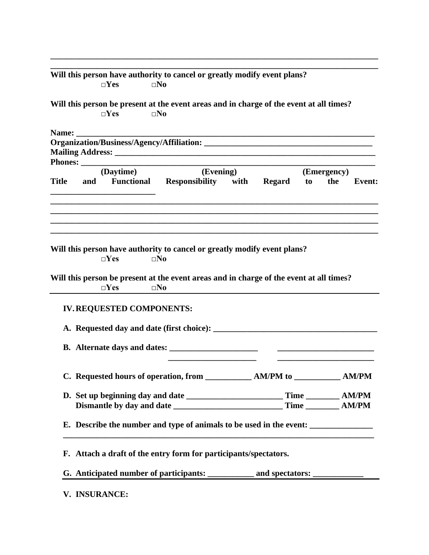|              |       | $\square$ Yes                                                      | $\square$ No                 |           |                                                                                                                                                                     |    |             |        |
|--------------|-------|--------------------------------------------------------------------|------------------------------|-----------|---------------------------------------------------------------------------------------------------------------------------------------------------------------------|----|-------------|--------|
|              |       | $\square$ Yes                                                      | $\square$ No                 |           | Will this person be present at the event areas and in charge of the event at all times?                                                                             |    |             |        |
|              |       |                                                                    |                              |           |                                                                                                                                                                     |    |             |        |
|              | Name: |                                                                    |                              |           |                                                                                                                                                                     |    |             |        |
|              |       |                                                                    |                              |           |                                                                                                                                                                     |    |             |        |
|              |       |                                                                    |                              |           |                                                                                                                                                                     |    |             |        |
|              |       | (Daytime)                                                          |                              | (Evening) |                                                                                                                                                                     |    | (Emergency) |        |
| <b>Title</b> | and   |                                                                    |                              |           | Functional Responsibility with Regard                                                                                                                               | to | the         | Event: |
|              |       |                                                                    |                              |           |                                                                                                                                                                     |    |             |        |
|              |       | $\square$ Yes<br>$\square$ Yes<br><b>IV. REQUESTED COMPONENTS:</b> | $\square$ No<br>$\square$ No |           | Will this person have authority to cancel or greatly modify event plans?<br>Will this person be present at the event areas and in charge of the event at all times? |    |             |        |
|              |       |                                                                    |                              |           |                                                                                                                                                                     |    |             |        |
|              |       |                                                                    |                              |           | C. Requested hours of operation, from ______________ AM/PM to ____________ AM/PM                                                                                    |    |             |        |
|              |       |                                                                    |                              |           |                                                                                                                                                                     |    |             |        |
|              |       |                                                                    |                              |           |                                                                                                                                                                     |    |             |        |
|              |       |                                                                    |                              |           | E. Describe the number and type of animals to be used in the event:                                                                                                 |    |             |        |
|              |       |                                                                    |                              |           | F. Attach a draft of the entry form for participants/spectators.                                                                                                    |    |             |        |

**\_\_\_\_\_\_\_\_\_\_\_\_\_\_\_\_\_\_\_\_\_\_\_\_\_\_\_\_\_\_\_\_\_\_\_\_\_\_\_\_\_\_\_\_\_\_\_\_\_\_\_\_\_\_\_\_\_\_\_\_\_\_\_\_\_\_\_\_\_\_\_\_\_\_\_\_\_\_**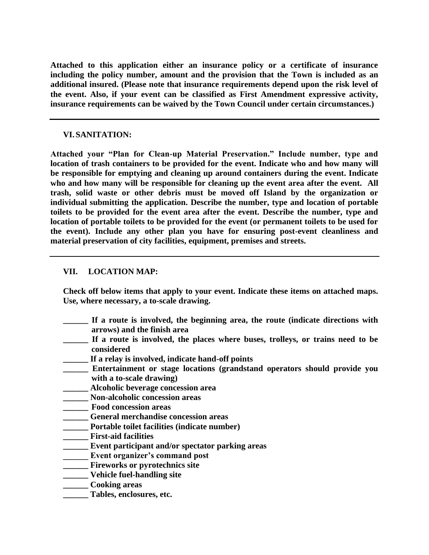**Attached to this application either an insurance policy or a certificate of insurance including the policy number, amount and the provision that the Town is included as an additional insured. (Please note that insurance requirements depend upon the risk level of the event. Also, if your event can be classified as First Amendment expressive activity, insurance requirements can be waived by the Town Council under certain circumstances.)**

# **VI.SANITATION:**

**Attached your "Plan for Clean-up Material Preservation." Include number, type and location of trash containers to be provided for the event. Indicate who and how many will be responsible for emptying and cleaning up around containers during the event. Indicate who and how many will be responsible for cleaning up the event area after the event. All trash, solid waste or other debris must be moved off Island by the organization or individual submitting the application. Describe the number, type and location of portable toilets to be provided for the event area after the event. Describe the number, type and location of portable toilets to be provided for the event (or permanent toilets to be used for the event). Include any other plan you have for ensuring post-event cleanliness and material preservation of city facilities, equipment, premises and streets.**

# **VII. LOCATION MAP:**

**Check off below items that apply to your event. Indicate these items on attached maps. Use, where necessary, a to-scale drawing.**

- **\_\_\_\_\_\_ If a route is involved, the beginning area, the route (indicate directions with arrows) and the finish area**
- If a route is involved, the places where buses, trolleys, or trains need to be **considered**
- **\_\_\_\_\_\_ If a relay is involved, indicate hand-off points**
- **\_\_\_\_\_\_ Entertainment or stage locations (grandstand operators should provide you with a to-scale drawing)**
- **\_\_\_\_\_\_ Alcoholic beverage concession area**
- **\_\_\_\_\_\_ Non-alcoholic concession areas**
- **\_\_\_\_\_\_ Food concession areas**
- **\_\_\_\_\_\_ General merchandise concession areas**
- **\_\_\_\_\_\_ Portable toilet facilities (indicate number)**
- **\_\_\_\_\_\_ First-aid facilities**
- **\_\_\_\_\_\_ Event participant and/or spectator parking areas**
- **\_\_\_\_\_\_ Event organizer's command post**
- **\_\_\_\_\_\_ Fireworks or pyrotechnics site**
- **\_\_\_\_\_\_ Vehicle fuel-handling site**
- **\_\_\_\_\_\_ Cooking areas**
- **\_\_\_\_\_\_ Tables, enclosures, etc.**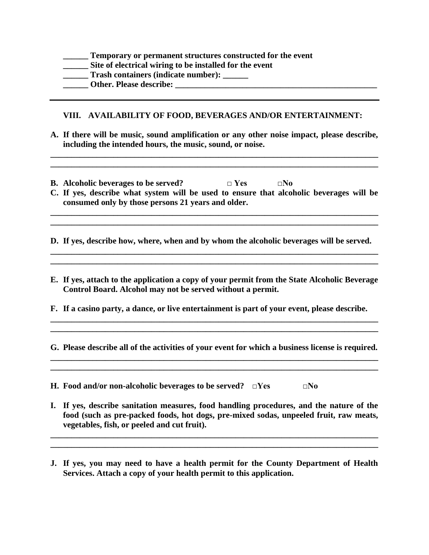| Temporary or permanent structures constructed for the event |
|-------------------------------------------------------------|
| Site of electrical wiring to be installed for the event     |
| Trash containers (indicate number):                         |
| <b>Other. Please describe:</b>                              |

## **VIII. AVAILABILITY OF FOOD, BEVERAGES AND/OR ENTERTAINMENT:**

**A. If there will be music, sound amplification or any other noise impact, please describe, including the intended hours, the music, sound, or noise.**

**\_\_\_\_\_\_\_\_\_\_\_\_\_\_\_\_\_\_\_\_\_\_\_\_\_\_\_\_\_\_\_\_\_\_\_\_\_\_\_\_\_\_\_\_\_\_\_\_\_\_\_\_\_\_\_\_\_\_\_\_\_\_\_\_\_\_\_\_\_\_\_\_\_\_\_\_\_\_ \_\_\_\_\_\_\_\_\_\_\_\_\_\_\_\_\_\_\_\_\_\_\_\_\_\_\_\_\_\_\_\_\_\_\_\_\_\_\_\_\_\_\_\_\_\_\_\_\_\_\_\_\_\_\_\_\_\_\_\_\_\_\_\_\_\_\_\_\_\_\_\_\_\_\_\_\_\_**

- **B. Alcoholic beverages to be served? □ Yes □No**
- **C. If yes, describe what system will be used to ensure that alcoholic beverages will be consumed only by those persons 21 years and older. \_\_\_\_\_\_\_\_\_\_\_\_\_\_\_\_\_\_\_\_\_\_\_\_\_\_\_\_\_\_\_\_\_\_\_\_\_\_\_\_\_\_\_\_\_\_\_\_\_\_\_\_\_\_\_\_\_\_\_\_\_\_\_\_\_\_\_\_\_\_\_\_\_\_\_\_\_\_**

**\_\_\_\_\_\_\_\_\_\_\_\_\_\_\_\_\_\_\_\_\_\_\_\_\_\_\_\_\_\_\_\_\_\_\_\_\_\_\_\_\_\_\_\_\_\_\_\_\_\_\_\_\_\_\_\_\_\_\_\_\_\_\_\_\_\_\_\_\_\_\_\_\_\_\_\_\_\_**

**D. If yes, describe how, where, when and by whom the alcoholic beverages will be served. \_\_\_\_\_\_\_\_\_\_\_\_\_\_\_\_\_\_\_\_\_\_\_\_\_\_\_\_\_\_\_\_\_\_\_\_\_\_\_\_\_\_\_\_\_\_\_\_\_\_\_\_\_\_\_\_\_\_\_\_\_\_\_\_\_\_\_\_\_\_\_\_\_\_\_\_\_\_**

**E. If yes, attach to the application a copy of your permit from the State Alcoholic Beverage Control Board. Alcohol may not be served without a permit.**

**\_\_\_\_\_\_\_\_\_\_\_\_\_\_\_\_\_\_\_\_\_\_\_\_\_\_\_\_\_\_\_\_\_\_\_\_\_\_\_\_\_\_\_\_\_\_\_\_\_\_\_\_\_\_\_\_\_\_\_\_\_\_\_\_\_\_\_\_\_\_\_\_\_\_\_\_\_\_**

**F. If a casino party, a dance, or live entertainment is part of your event, please describe.**

**G. Please describe all of the activities of your event for which a business license is required. \_\_\_\_\_\_\_\_\_\_\_\_\_\_\_\_\_\_\_\_\_\_\_\_\_\_\_\_\_\_\_\_\_\_\_\_\_\_\_\_\_\_\_\_\_\_\_\_\_\_\_\_\_\_\_\_\_\_\_\_\_\_\_\_\_\_\_\_\_\_\_\_\_\_\_\_\_\_**

**\_\_\_\_\_\_\_\_\_\_\_\_\_\_\_\_\_\_\_\_\_\_\_\_\_\_\_\_\_\_\_\_\_\_\_\_\_\_\_\_\_\_\_\_\_\_\_\_\_\_\_\_\_\_\_\_\_\_\_\_\_\_\_\_\_\_\_\_\_\_\_\_\_\_\_\_\_\_**

**\_\_\_\_\_\_\_\_\_\_\_\_\_\_\_\_\_\_\_\_\_\_\_\_\_\_\_\_\_\_\_\_\_\_\_\_\_\_\_\_\_\_\_\_\_\_\_\_\_\_\_\_\_\_\_\_\_\_\_\_\_\_\_\_\_\_\_\_\_\_\_\_\_\_\_\_\_\_ \_\_\_\_\_\_\_\_\_\_\_\_\_\_\_\_\_\_\_\_\_\_\_\_\_\_\_\_\_\_\_\_\_\_\_\_\_\_\_\_\_\_\_\_\_\_\_\_\_\_\_\_\_\_\_\_\_\_\_\_\_\_\_\_\_\_\_\_\_\_\_\_\_\_\_\_\_\_**

**H. Food and/or non-alcoholic beverages to be served? □Yes □No**

**I. If yes, describe sanitation measures, food handling procedures, and the nature of the food (such as pre-packed foods, hot dogs, pre-mixed sodas, unpeeled fruit, raw meats, vegetables, fish, or peeled and cut fruit).**

**\_\_\_\_\_\_\_\_\_\_\_\_\_\_\_\_\_\_\_\_\_\_\_\_\_\_\_\_\_\_\_\_\_\_\_\_\_\_\_\_\_\_\_\_\_\_\_\_\_\_\_\_\_\_\_\_\_\_\_\_\_\_\_\_\_\_\_\_\_\_\_\_\_\_\_\_\_\_ \_\_\_\_\_\_\_\_\_\_\_\_\_\_\_\_\_\_\_\_\_\_\_\_\_\_\_\_\_\_\_\_\_\_\_\_\_\_\_\_\_\_\_\_\_\_\_\_\_\_\_\_\_\_\_\_\_\_\_\_\_\_\_\_\_\_\_\_\_\_\_\_\_\_\_\_\_\_**

**J. If yes, you may need to have a health permit for the County Department of Health Services. Attach a copy of your health permit to this application.**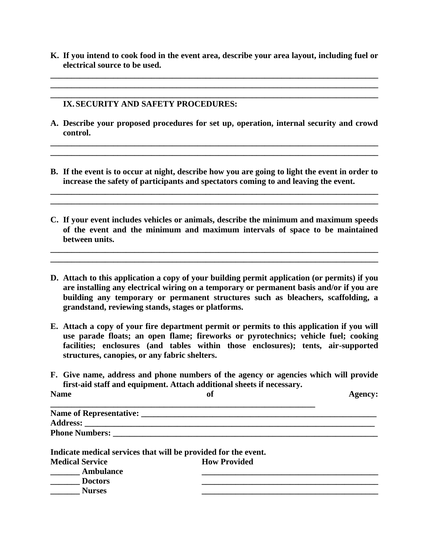**K. If you intend to cook food in the event area, describe your area layout, including fuel or electrical source to be used.**

**\_\_\_\_\_\_\_\_\_\_\_\_\_\_\_\_\_\_\_\_\_\_\_\_\_\_\_\_\_\_\_\_\_\_\_\_\_\_\_\_\_\_\_\_\_\_\_\_\_\_\_\_\_\_\_\_\_\_\_\_\_\_\_\_\_\_\_\_\_\_\_\_\_\_\_\_\_\_ \_\_\_\_\_\_\_\_\_\_\_\_\_\_\_\_\_\_\_\_\_\_\_\_\_\_\_\_\_\_\_\_\_\_\_\_\_\_\_\_\_\_\_\_\_\_\_\_\_\_\_\_\_\_\_\_\_\_\_\_\_\_\_\_\_\_\_\_\_\_\_\_\_\_\_\_\_\_ \_\_\_\_\_\_\_\_\_\_\_\_\_\_\_\_\_\_\_\_\_\_\_\_\_\_\_\_\_\_\_\_\_\_\_\_\_\_\_\_\_\_\_\_\_\_\_\_\_\_\_\_\_\_\_\_\_\_\_\_\_\_\_\_\_\_\_\_\_\_\_\_\_\_\_\_\_\_**

#### **IX.SECURITY AND SAFETY PROCEDURES:**

**A. Describe your proposed procedures for set up, operation, internal security and crowd control.**

**\_\_\_\_\_\_\_\_\_\_\_\_\_\_\_\_\_\_\_\_\_\_\_\_\_\_\_\_\_\_\_\_\_\_\_\_\_\_\_\_\_\_\_\_\_\_\_\_\_\_\_\_\_\_\_\_\_\_\_\_\_\_\_\_\_\_\_\_\_\_\_\_\_\_\_\_\_\_ \_\_\_\_\_\_\_\_\_\_\_\_\_\_\_\_\_\_\_\_\_\_\_\_\_\_\_\_\_\_\_\_\_\_\_\_\_\_\_\_\_\_\_\_\_\_\_\_\_\_\_\_\_\_\_\_\_\_\_\_\_\_\_\_\_\_\_\_\_\_\_\_\_\_\_\_\_\_**

**B. If the event is to occur at night, describe how you are going to light the event in order to increase the safety of participants and spectators coming to and leaving the event.**

**\_\_\_\_\_\_\_\_\_\_\_\_\_\_\_\_\_\_\_\_\_\_\_\_\_\_\_\_\_\_\_\_\_\_\_\_\_\_\_\_\_\_\_\_\_\_\_\_\_\_\_\_\_\_\_\_\_\_\_\_\_\_\_\_\_\_\_\_\_\_\_\_\_\_\_\_\_\_ \_\_\_\_\_\_\_\_\_\_\_\_\_\_\_\_\_\_\_\_\_\_\_\_\_\_\_\_\_\_\_\_\_\_\_\_\_\_\_\_\_\_\_\_\_\_\_\_\_\_\_\_\_\_\_\_\_\_\_\_\_\_\_\_\_\_\_\_\_\_\_\_\_\_\_\_\_\_**

**C. If your event includes vehicles or animals, describe the minimum and maximum speeds of the event and the minimum and maximum intervals of space to be maintained between units.**

**\_\_\_\_\_\_\_\_\_\_\_\_\_\_\_\_\_\_\_\_\_\_\_\_\_\_\_\_\_\_\_\_\_\_\_\_\_\_\_\_\_\_\_\_\_\_\_\_\_\_\_\_\_\_\_\_\_\_\_\_\_\_\_\_\_\_\_\_\_\_\_\_\_\_\_\_\_\_ \_\_\_\_\_\_\_\_\_\_\_\_\_\_\_\_\_\_\_\_\_\_\_\_\_\_\_\_\_\_\_\_\_\_\_\_\_\_\_\_\_\_\_\_\_\_\_\_\_\_\_\_\_\_\_\_\_\_\_\_\_\_\_\_\_\_\_\_\_\_\_\_\_\_\_\_\_\_**

- **D. Attach to this application a copy of your building permit application (or permits) if you are installing any electrical wiring on a temporary or permanent basis and/or if you are building any temporary or permanent structures such as bleachers, scaffolding, a grandstand, reviewing stands, stages or platforms.**
- **E. Attach a copy of your fire department permit or permits to this application if you will use parade floats; an open flame; fireworks or pyrotechnics; vehicle fuel; cooking facilities; enclosures (and tables within those enclosures); tents, air-supported structures, canopies, or any fabric shelters.**
- **F. Give name, address and phone numbers of the agency or agencies which will provide first-aid staff and equipment. Attach additional sheets if necessary.**

| <b>Name</b>                                                    | of                                                                                                                                                                                                                             | <b>Agency:</b> |
|----------------------------------------------------------------|--------------------------------------------------------------------------------------------------------------------------------------------------------------------------------------------------------------------------------|----------------|
|                                                                |                                                                                                                                                                                                                                |                |
|                                                                |                                                                                                                                                                                                                                |                |
|                                                                | Phone Numbers: New York School School School School School School School School School School School School School School School School School School School School School School School School School School School School Sc |                |
| Indicate medical services that will be provided for the event. |                                                                                                                                                                                                                                |                |
| <b>Medical Service</b>                                         | <b>How Provided</b>                                                                                                                                                                                                            |                |
| <b>Ambulance</b>                                               |                                                                                                                                                                                                                                |                |
| Doctors                                                        |                                                                                                                                                                                                                                |                |
| <b>Nurses</b>                                                  |                                                                                                                                                                                                                                |                |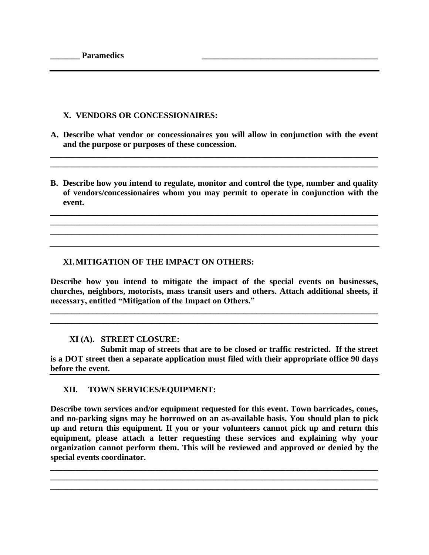# **X. VENDORS OR CONCESSIONAIRES:**

**A. Describe what vendor or concessionaires you will allow in conjunction with the event and the purpose or purposes of these concession.**

**\_\_\_\_\_\_\_\_\_\_\_\_\_\_\_\_\_\_\_\_\_\_\_\_\_\_\_\_\_\_\_\_\_\_\_\_\_\_\_\_\_\_\_\_\_\_\_\_\_\_\_\_\_\_\_\_\_\_\_\_\_\_\_\_\_\_\_\_\_\_\_\_\_\_\_\_\_\_ \_\_\_\_\_\_\_\_\_\_\_\_\_\_\_\_\_\_\_\_\_\_\_\_\_\_\_\_\_\_\_\_\_\_\_\_\_\_\_\_\_\_\_\_\_\_\_\_\_\_\_\_\_\_\_\_\_\_\_\_\_\_\_\_\_\_\_\_\_\_\_\_\_\_\_\_\_\_**

**B. Describe how you intend to regulate, monitor and control the type, number and quality of vendors/concessionaires whom you may permit to operate in conjunction with the event.**

**\_\_\_\_\_\_\_\_\_\_\_\_\_\_\_\_\_\_\_\_\_\_\_\_\_\_\_\_\_\_\_\_\_\_\_\_\_\_\_\_\_\_\_\_\_\_\_\_\_\_\_\_\_\_\_\_\_\_\_\_\_\_\_\_\_\_\_\_\_\_\_\_\_\_\_\_\_\_ \_\_\_\_\_\_\_\_\_\_\_\_\_\_\_\_\_\_\_\_\_\_\_\_\_\_\_\_\_\_\_\_\_\_\_\_\_\_\_\_\_\_\_\_\_\_\_\_\_\_\_\_\_\_\_\_\_\_\_\_\_\_\_\_\_\_\_\_\_\_\_\_\_\_\_\_\_\_ \_\_\_\_\_\_\_\_\_\_\_\_\_\_\_\_\_\_\_\_\_\_\_\_\_\_\_\_\_\_\_\_\_\_\_\_\_\_\_\_\_\_\_\_\_\_\_\_\_\_\_\_\_\_\_\_\_\_\_\_\_\_\_\_\_\_\_\_\_\_\_\_\_\_\_\_\_\_**

# **XI.MITIGATION OF THE IMPACT ON OTHERS:**

**Describe how you intend to mitigate the impact of the special events on businesses, churches, neighbors, motorists, mass transit users and others. Attach additional sheets, if necessary, entitled "Mitigation of the Impact on Others."**

**\_\_\_\_\_\_\_\_\_\_\_\_\_\_\_\_\_\_\_\_\_\_\_\_\_\_\_\_\_\_\_\_\_\_\_\_\_\_\_\_\_\_\_\_\_\_\_\_\_\_\_\_\_\_\_\_\_\_\_\_\_\_\_\_\_\_\_\_\_\_\_\_\_\_\_\_\_\_ \_\_\_\_\_\_\_\_\_\_\_\_\_\_\_\_\_\_\_\_\_\_\_\_\_\_\_\_\_\_\_\_\_\_\_\_\_\_\_\_\_\_\_\_\_\_\_\_\_\_\_\_\_\_\_\_\_\_\_\_\_\_\_\_\_\_\_\_\_\_\_\_\_\_\_\_\_\_**

## **XI (A). STREET CLOSURE:**

**Submit map of streets that are to be closed or traffic restricted. If the street is a DOT street then a separate application must filed with their appropriate office 90 days before the event.**

## **XII. TOWN SERVICES/EQUIPMENT:**

**Describe town services and/or equipment requested for this event. Town barricades, cones, and no-parking signs may be borrowed on an as-available basis. You should plan to pick up and return this equipment. If you or your volunteers cannot pick up and return this equipment, please attach a letter requesting these services and explaining why your organization cannot perform them. This will be reviewed and approved or denied by the special events coordinator.**

**\_\_\_\_\_\_\_\_\_\_\_\_\_\_\_\_\_\_\_\_\_\_\_\_\_\_\_\_\_\_\_\_\_\_\_\_\_\_\_\_\_\_\_\_\_\_\_\_\_\_\_\_\_\_\_\_\_\_\_\_\_\_\_\_\_\_\_\_\_\_\_\_\_\_\_\_\_\_ \_\_\_\_\_\_\_\_\_\_\_\_\_\_\_\_\_\_\_\_\_\_\_\_\_\_\_\_\_\_\_\_\_\_\_\_\_\_\_\_\_\_\_\_\_\_\_\_\_\_\_\_\_\_\_\_\_\_\_\_\_\_\_\_\_\_\_\_\_\_\_\_\_\_\_\_\_\_ \_\_\_\_\_\_\_\_\_\_\_\_\_\_\_\_\_\_\_\_\_\_\_\_\_\_\_\_\_\_\_\_\_\_\_\_\_\_\_\_\_\_\_\_\_\_\_\_\_\_\_\_\_\_\_\_\_\_\_\_\_\_\_\_\_\_\_\_\_\_\_\_\_\_\_\_\_\_**